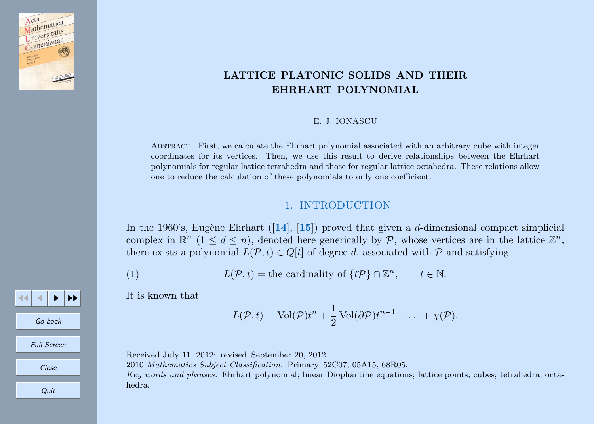<span id="page-0-0"></span>

33 J J D I D D

Go back

Full Screen

Close

**Quit** 

# LATTICE PLATONIC SOLIDS AND THEIR EHRHART POLYNOMIAL

#### E. J. IONASCU

Abstract. First, we calculate the Ehrhart polynomial associated with an arbitrary cube with integer coordinates for its vertices. Then, we use this result to derive relationships between the Ehrhart polynomials for regular lattice tetrahedra and those for regular lattice octahedra. These relations allow one to reduce the calculation of these polynomials to only one coefficient.

### 1. INTRODUCTION

In the 1960's, Eugène Ehrhart ([[14](#page-18-0)], [[15](#page-18-0)]) proved that given a d-dimensional compact simplicial complex in  $\mathbb{R}^n$   $(1 \leq d \leq n)$ , denoted here generically by P, whose vertices are in the lattice  $\mathbb{Z}^n$ , there exists a polynomial  $L(\mathcal{P}, t) \in Q[t]$  of degree d, associated with  $\mathcal{P}$  and satisfying

(1) 
$$
L(\mathcal{P}, t) =
$$
 the cardinality of  $\{t\mathcal{P}\}\cap \mathbb{Z}^n$ ,  $t \in \mathbb{N}$ .

It is known that

$$
L(\mathcal{P},t) = \text{Vol}(\mathcal{P})t^{n} + \frac{1}{2}\text{Vol}(\partial \mathcal{P})t^{n-1} + \ldots + \chi(\mathcal{P}),
$$

Received July 11, 2012; revised September 20, 2012.

2010 Mathematics Subject Classification. Primary 52C07, 05A15, 68R05.

Key words and phrases. Ehrhart polynomial; linear Diophantine equations; lattice points; cubes; tetrahedra; octahedra.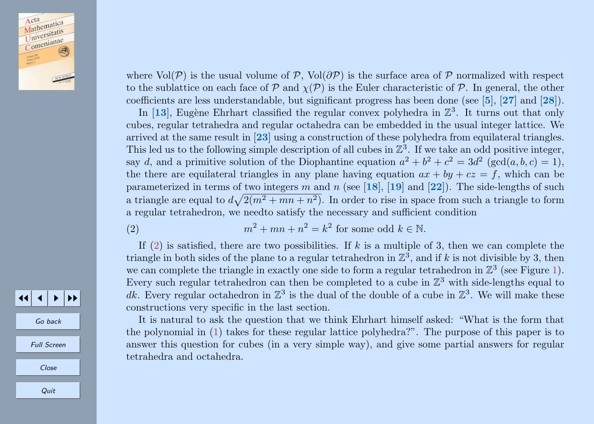

where  $Vol(\mathcal{P})$  is the usual volume of P, Vol $(\partial \mathcal{P})$  is the surface area of P normalized with respect to the sublattice on each face of  $\mathcal P$  and  $\chi(\mathcal P)$  is the Euler characteristic of  $\mathcal P$ . In general, the other coefficients are less understandable, but significant progress has been done (see [[5](#page-18-0)], [[27](#page-19-0)] and [[28](#page-19-0)]).

In  $[13]$  $[13]$  $[13]$ , Eugène Ehrhart classified the regular convex polyhedra in  $\mathbb{Z}^3$ . It turns out that only cubes, regular tetrahedra and regular octahedra can be embedded in the usual integer lattice. We arrived at the same result in [[23](#page-19-0)] using a construction of these polyhedra from equilateral triangles. This led us to the following simple description of all cubes in  $\mathbb{Z}^3$ . If we take an odd positive integer, say d, and a primitive solution of the Diophantine equation  $a^2 + b^2 + c^2 = 3d^2$  (gcd(a, b, c) = 1), the there are equilateral triangles in any plane having equation  $ax + by + cz = f$ , which can be parameterized in terms of two integers m and n (see [[18](#page-18-0)], [[19](#page-18-0)] and [[22](#page-19-0)]). The side-lengths of such a triangle are equal to  $d\sqrt{2(m^2 + mn + n^2)}$ . In order to rise in space from such a triangle to form a regular tetrahedron, we needto satisfy the necessary and sufficient condition

(2) 
$$
m^2 + mn + n^2 = k^2 \text{ for some odd } k \in \mathbb{N}.
$$

If (2) is satisfied, there are two possibilities. If k is a multiple of 3, then we can complete the triangle in both sides of the plane to a regular tetrahedron in  $\mathbb{Z}^3$ , and if k is not divisible by 3, then we can complete the triangle in exactly one side to form a regular tetrahedron in  $\mathbb{Z}^3$  (see Figure [1\)](#page-2-0). Every such regular tetrahedron can then be completed to a cube in  $\mathbb{Z}^3$  with side-lengths equal to dk. Every regular octahedron in  $\mathbb{Z}^3$  is the dual of the double of a cube in  $\mathbb{Z}^3$ . We will make these constructions very specific in the last section.

It is natural to ask the question that we think Ehrhart himself asked: "What is the form that the polynomial in [\(1\)](#page-0-0) takes for these regular lattice polyhedra?". The purpose of this paper is to answer this question for cubes (in a very simple way), and give some partial answers for regular tetrahedra and octahedra.

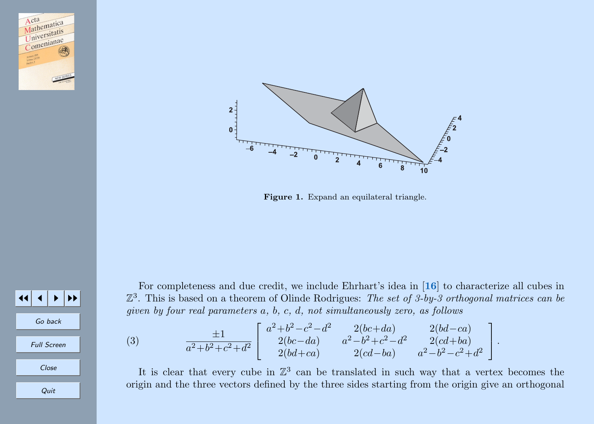<span id="page-2-0"></span>



Figure 1. Expand an equilateral triangle.



For completeness and due credit, we include Ehrhart's idea in [[16](#page-18-0)] to characterize all cubes in  $\mathbb{Z}^3$ . This is based on a theorem of Olinde Rodrigues: The set of 3-by-3 orthogonal matrices can be given by four real parameters a, b, c, d, not simultaneously zero, as follows

(3) 
$$
\frac{\pm 1}{a^2 + b^2 + c^2 + d^2} \begin{bmatrix} a^2 + b^2 - c^2 - d^2 & 2(bc + da) & 2(bd - ca) \\ 2(bc - da) & a^2 - b^2 + c^2 - d^2 & 2(cd + ba) \\ 2(bd + ca) & 2(cd - ba) & a^2 - b^2 - c^2 + d^2 \end{bmatrix}.
$$

It is clear that every cube in  $\mathbb{Z}^3$  can be translated in such way that a vertex becomes the origin and the three vectors defined by the three sides starting from the origin give an orthogonal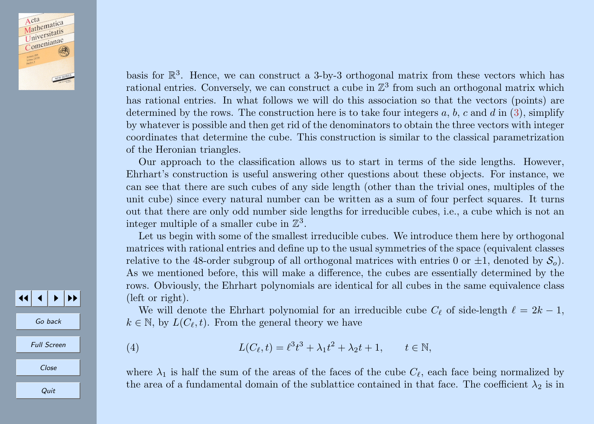<span id="page-3-0"></span>Acta Acta<br>Mathematica Mathematis<br>Universitatis Comenianae

basis for  $\mathbb{R}^3$ . Hence, we can construct a 3-by-3 orthogonal matrix from these vectors which has rational entries. Conversely, we can construct a cube in  $\mathbb{Z}^3$  from such an orthogonal matrix which has rational entries. In what follows we will do this association so that the vectors (points) are determined by the rows. The construction here is to take four integers  $a, b, c$  and  $d$  in [\(3\)](#page-2-0), simplify by whatever is possible and then get rid of the denominators to obtain the three vectors with integer coordinates that determine the cube. This construction is similar to the classical parametrization of the Heronian triangles.

Our approach to the classification allows us to start in terms of the side lengths. However, Ehrhart's construction is useful answering other questions about these objects. For instance, we can see that there are such cubes of any side length (other than the trivial ones, multiples of the unit cube) since every natural number can be written as a sum of four perfect squares. It turns out that there are only odd number side lengths for irreducible cubes, i.e., a cube which is not an integer multiple of a smaller cube in  $\mathbb{Z}^3$ .

Let us begin with some of the smallest irreducible cubes. We introduce them here by orthogonal matrices with rational entries and define up to the usual symmetries of the space (equivalent classes relative to the 48-order subgroup of all orthogonal matrices with entries 0 or  $\pm 1$ , denoted by  $S_0$ . As we mentioned before, this will make a difference, the cubes are essentially determined by the rows. Obviously, the Ehrhart polynomials are identical for all cubes in the same equivalence class (left or right).

We will denote the Ehrhart polynomial for an irreducible cube  $C_{\ell}$  of side-length  $\ell = 2k - 1$ ,  $k \in \mathbb{N}$ , by  $L(C_{\ell}, t)$ . From the general theory we have

(4) 
$$
L(C_{\ell}, t) = \ell^{3} t^{3} + \lambda_{1} t^{2} + \lambda_{2} t + 1, \qquad t \in \mathbb{N},
$$

where  $\lambda_1$  is half the sum of the areas of the faces of the cube  $C_\ell$ , each face being normalized by the area of a fundamental domain of the sublattice contained in that face. The coefficient  $\lambda_2$  is in

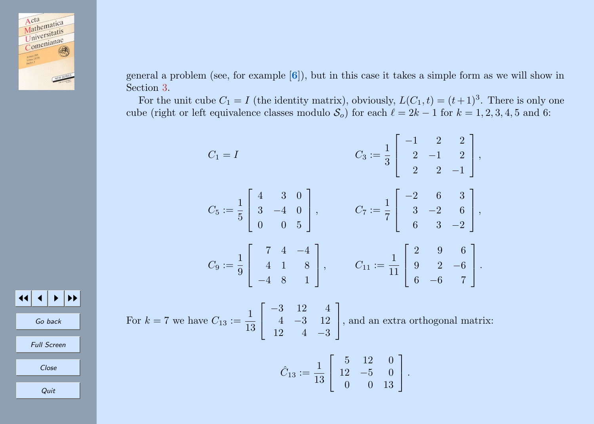

general a problem (see, for example [[6](#page-18-0)]), but in this case it takes a simple form as we will show in Section [3.](#page-9-0)

For the unit cube  $C_1 = I$  (the identity matrix), obviously,  $L(C_1, t) = (t+1)^3$ . There is only one cube (right or left equivalence classes modulo  $S_o$ ) for each  $\ell = 2k - 1$  for  $k = 1, 2, 3, 4, 5$  and 6:

$$
C_1 = I
$$
  
\n
$$
C_3 := \frac{1}{3} \begin{bmatrix} -1 & 2 & 2 \\ 2 & -1 & 2 \\ 2 & 2 & -1 \end{bmatrix},
$$
  
\n
$$
C_5 := \frac{1}{5} \begin{bmatrix} 4 & 3 & 0 \\ 3 & -4 & 0 \\ 0 & 0 & 5 \end{bmatrix},
$$
  
\n
$$
C_6 := \frac{1}{9} \begin{bmatrix} 7 & 4 & -4 \\ 4 & 1 & 8 \\ -4 & 8 & 1 \end{bmatrix},
$$
  
\n
$$
C_{11} := \frac{1}{11} \begin{bmatrix} 2 & 9 & 6 \\ 9 & 2 & -6 \\ 6 & -6 & 7 \end{bmatrix}.
$$

For 
$$
k = 7
$$
 we have  $C_{13} := \frac{1}{13} \begin{bmatrix} -3 & 12 & 4 \ 4 & -3 & 12 \ 12 & 4 & -3 \end{bmatrix}$ , and an extra orthogonal matrix:

$$
\hat{C}_{13} := \frac{1}{13} \left[ \begin{array}{rrr} 5 & 12 & 0 \\ 12 & -5 & 0 \\ 0 & 0 & 13 \end{array} \right].
$$

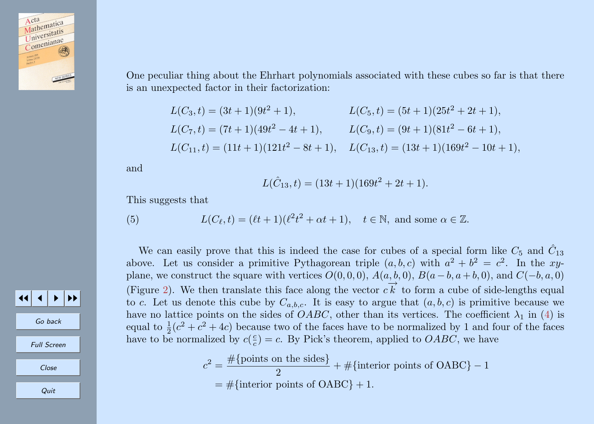<span id="page-5-0"></span>

One peculiar thing about the Ehrhart polynomials associated with these cubes so far is that there is an unexpected factor in their factorization:

$$
L(C_3, t) = (3t + 1)(9t^2 + 1),
$$
  
\n
$$
L(C_5, t) = (5t + 1)(25t^2 + 2t + 1),
$$
  
\n
$$
L(C_7, t) = (7t + 1)(49t^2 - 4t + 1),
$$
  
\n
$$
L(C_9, t) = (9t + 1)(81t^2 - 6t + 1),
$$
  
\n
$$
L(C_{11}, t) = (11t + 1)(121t^2 - 8t + 1),
$$
  
\n
$$
L(C_{13}, t) = (13t + 1)(169t^2 - 10t + 1),
$$

and

$$
L(\hat{C}_{13}, t) = (13t + 1)(169t^2 + 2t + 1).
$$

This suggests that

(5) 
$$
L(C_{\ell}, t) = (\ell t + 1)(\ell^2 t^2 + \alpha t + 1), \quad t \in \mathbb{N}, \text{ and some } \alpha \in \mathbb{Z}.
$$

We can easily prove that this is indeed the case for cubes of a special form like  $C_5$  and  $\hat{C}_{13}$ above. Let us consider a primitive Pythagorean triple  $(a, b, c)$  with  $a^2 + b^2 = c^2$ . In the xyplane, we construct the square with vertices  $O(0, 0, 0)$ ,  $A(a, b, 0)$ ,  $B(a - b, a + b, 0)$ , and  $C(-b, a, 0)$ (Figure [2\)](#page-6-0). We then translate this face along the vector  $c\vec{k}$  to form a cube of side-lengths equal  $\left( \begin{array}{c} 0, 0, 0, 0 \end{array} \right)$ to c. Let us denote this cube by  $C_{a,b,c}$ . It is easy to argue that  $(a, b, c)$  is primitive because we have no lattice points on the sides of *OABC*, other than its vertices. The coefficient  $\lambda_1$  in [\(4\)](#page-3-0) is equal to  $\frac{1}{2}(c^2 + c^2 + 4c)$  because two of the faces have to be normalized by 1 and four of the faces have to be normalized by  $c(\frac{c}{c}) = c$ . By Pick's theorem, applied to *OABC*, we have

$$
c2 = \frac{\#\{\text{points on the sides}\}}{2} + \#\{\text{interior points of OABC}\} - 1
$$

$$
= \#\{\text{interior points of OABC}\} + 1.
$$

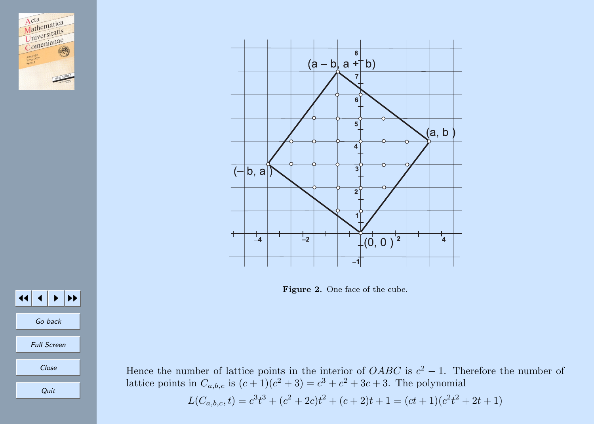<span id="page-6-0"></span>



Figure 2. One face of the cube.



Hence the number of lattice points in the interior of  $OABC$  is  $c^2 - 1$ . Therefore the number of lattice points in  $C_{a,b,c}$  is  $(c+1)(c^2+3) = c^3 + c^2 + 3c + 3$ . The polynomial

$$
L(C_{a,b,c}, t) = c3t3 + (c2 + 2c)t2 + (c + 2)t + 1 = (ct + 1)(c2t2 + 2t + 1)
$$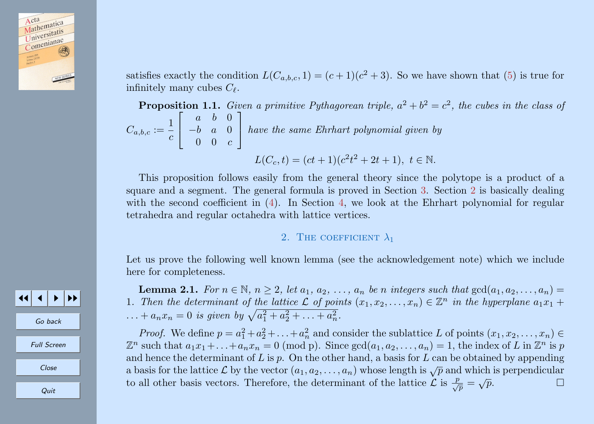<span id="page-7-0"></span>

satisfies exactly the condition  $L(C_{a,b,c}, 1) = (c+1)(c^2+3)$ . So we have shown that [\(5\)](#page-5-0) is true for infinitely many cubes  $C_{\ell}$ .

**Proposition 1.1.** Given a primitive Pythagorean triple,  $a^2 + b^2 = c^2$ , the cubes in the class of  $C_{a,b,c} := \frac{1}{a}$ c  $\lceil$  $\overline{1}$ a b 0 −b a 0  $0 \quad 0 \quad c$ 1 have the same Ehrhart polynomial given by

$$
L(C_c, t) = (ct + 1)(c^2t^2 + 2t + 1), \ t \in \mathbb{N}.
$$

This proposition follows easily from the general theory since the polytope is a product of a square and a segment. The general formula is proved in Section [3.](#page-9-0) Section 2 is basically dealing with the second coefficient in [\(4\)](#page-3-0). In Section [4,](#page-12-0) we look at the Ehrhart polynomial for regular tetrahedra and regular octahedra with lattice vertices.

### 2. THE COEFFICIENT  $\lambda_1$

Let us prove the following well known lemma (see the acknowledgement note) which we include here for completeness.

**Lemma 2.1.** For  $n \in \mathbb{N}$ ,  $n \geq 2$ , let  $a_1, a_2, \ldots, a_n$  be n integers such that  $gcd(a_1, a_2, \ldots, a_n)$ 1. Then the determinant of the lattice  $\mathcal L$  of points  $(x_1, x_2, \ldots, x_n) \in \mathbb Z^n$  in the hyperplane  $a_1x_1 +$ ... +  $a_n x_n = 0$  is given by  $\sqrt{a_1^2 + a_2^2 + \ldots + a_n^2}$ .

*Proof.* We define  $p = a_1^2 + a_2^2 + \ldots + a_n^2$  and consider the sublattice L of points  $(x_1, x_2, \ldots, x_n) \in$  $\mathbb{Z}^n$  such that  $a_1x_1 + \ldots + a_nx_n = 0 \pmod{p}$ . Since  $gcd(a_1, a_2, \ldots, a_n) = 1$ , the index of L in  $\mathbb{Z}^n$  is p and hence the determinant of L is p. On the other hand, a basis for L can be obtained by appending a basis for the lattice L by the vector  $(a_1, a_2, \ldots, a_n)$  whose length is  $\sqrt{p}$  and which is perpendicular to all other basis vectors. Therefore, the determinant of the lattice  $\mathcal{L}$  is  $\frac{p}{\sqrt{p}} = \sqrt{p}$ .  $\sqrt{p}$ .  $\Box$ 

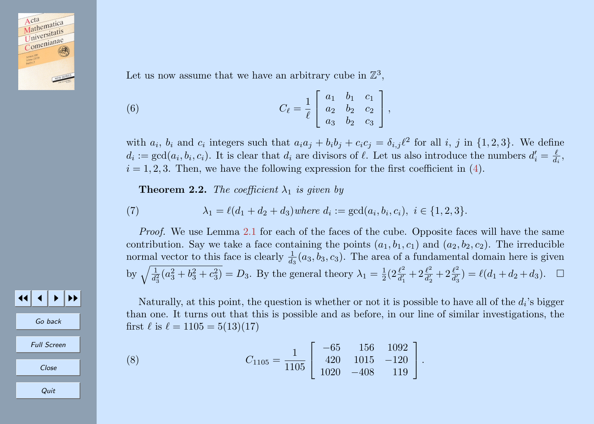<span id="page-8-0"></span>

Let us now assume that we have an arbitrary cube in  $\mathbb{Z}^3$ ,

(6) 
$$
C_{\ell} = \frac{1}{\ell} \begin{bmatrix} a_1 & b_1 & c_1 \\ a_2 & b_2 & c_2 \\ a_3 & b_2 & c_3 \end{bmatrix},
$$

with  $a_i$ ,  $b_i$  and  $c_i$  integers such that  $a_i a_j + b_i b_j + c_i c_j = \delta_{i,j} \ell^2$  for all i, j in  $\{1, 2, 3\}$ . We define  $d_i := \gcd(a_i, b_i, c_i)$ . It is clear that  $d_i$  are divisors of  $\ell$ . Let us also introduce the numbers  $d'_i = \frac{\ell}{d_i},$  $i = 1, 2, 3$ . Then, we have the following expression for the first coefficient in [\(4\)](#page-3-0).

**Theorem 2.2.** The coefficient  $\lambda_1$  is given by

(7) 
$$
\lambda_1 = \ell(d_1 + d_2 + d_3) \text{ where } d_i := \gcd(a_i, b_i, c_i), \ i \in \{1, 2, 3\}.
$$

Proof. We use Lemma [2.1](#page-7-0) for each of the faces of the cube. Opposite faces will have the same contribution. Say we take a face containing the points  $(a_1, b_1, c_1)$  and  $(a_2, b_2, c_2)$ . The irreducible normal vector to this face is clearly  $\frac{1}{d_3}(a_3, b_3, c_3)$ . The area of a fundamental domain here is given by  $\sqrt{\frac{1}{d_3^2}(a_3^2+b_3^2+c_3^2)} = D_3$ . By the general theory  $\lambda_1 = \frac{1}{2} \left(2 \frac{\ell^2}{d_1^2}\right)$  $\frac{\ell^2}{d_1'} + 2\frac{\ell^2}{d_2'}$  $\frac{\ell^2}{d'_2} + 2 \frac{\ell^2}{d'_3}$  $\frac{\ell^2}{d'_3}$ ) =  $\ell(d_1 + d_2 + d_3)$ .  $\Box$ 

Naturally, at this point, the question is whether or not it is possible to have all of the  $d_i$ 's bigger than one. It turns out that this is possible and as before, in our line of similar investigations, the first  $\ell$  is  $\ell = 1105 = 5(13)(17)$ 

(8) 
$$
C_{1105} = \frac{1}{1105} \begin{bmatrix} -65 & 156 & 1092 \\ 420 & 1015 & -120 \\ 1020 & -408 & 119 \end{bmatrix}.
$$

Go back Full Screen Close **Quit** 

JJ J I II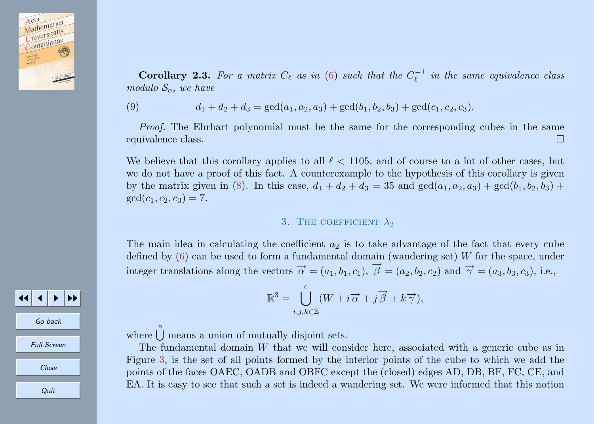<span id="page-9-0"></span>

**Corollary 2.3.** For a matrix  $C_{\ell}$  as in [\(6\)](#page-8-0) such that the  $C_{\ell}^{-1}$  in the same equivalence class modulo  $S_o$ , we have

(9) 
$$
d_1 + d_2 + d_3 = \gcd(a_1, a_2, a_3) + \gcd(b_1, b_2, b_3) + \gcd(c_1, c_2, c_3).
$$

Proof. The Ehrhart polynomial must be the same for the corresponding cubes in the same equivalence class.

We believe that this corollary applies to all  $\ell < 1105$ , and of course to a lot of other cases, but we do not have a proof of this fact. A counterexample to the hypothesis of this corollary is given by the matrix given in [\(8\)](#page-8-0). In this case,  $d_1 + d_2 + d_3 = 35$  and  $gcd(a_1, a_2, a_3) + gcd(b_1, b_2, b_3) +$  $gcd(c_1, c_2, c_3) = 7.$ 

### 3. THE COEFFICIENT  $\lambda_2$

The main idea in calculating the coefficient  $a_2$  is to take advantage of the fact that every cube defined by  $(6)$  can be used to form a fundamental domain (wandering set) W for the space, under integer translations along the vectors  $\vec{\alpha} = (a_1, b_1, c_1), \vec{\beta} = (a_2, b_2, c_2)$  and  $\vec{\gamma} = (a_3, b_3, c_3)$ , i.e.,

$$
\mathbb{R}^3 = \bigcup_{i,j,k \in \mathbb{Z}}^{\circ} (W + i \overrightarrow{\alpha} + j \overrightarrow{\beta} + k \overrightarrow{\gamma}),
$$

Go back

JJ J I II

Full Screen

Close

Quit

where  $\bigcup^{\circ}$  means a union of mutually disjoint sets.

The fundamental domain W that we will consider here, associated with a generic cube as in Figure 3, is the set of all points formed by the interior points of the cube to which we add the points of the faces OAEC, OADB and OBFC except the (closed) edges AD, DB, BF, FC, CE, and EA. It is easy to see that such a set is indeed a wandering set. We were informed that this notion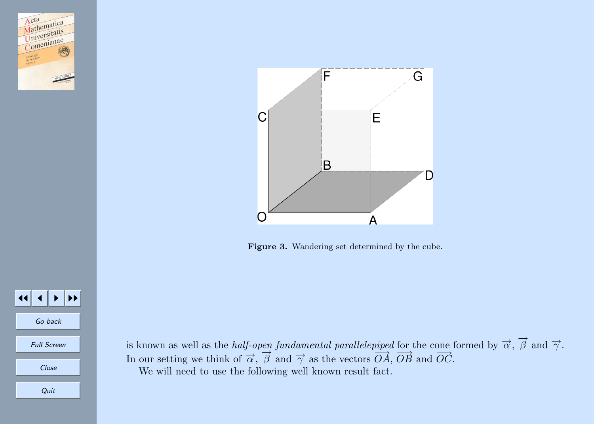<span id="page-10-0"></span>

 $\blacktriangleright$   $\blacktriangleright$ 

Go back

Full Screen

Close

Quit



Figure 3. Wandering set determined by the cube.

is known as well as the *half-open fundamental parallelepiped* for the cone formed by  $\overrightarrow{\alpha}$ ,  $\overrightarrow{\beta}$  and  $\overrightarrow{\gamma}$ . In our setting we think of  $\vec{\alpha}$ ,  $\vec{\beta}$  and  $\vec{\gamma}$  as the vectors  $\vec{OA}$ ,  $\vec{OB}$  and  $\vec{OC}$ . We will need to use the following well known result fact.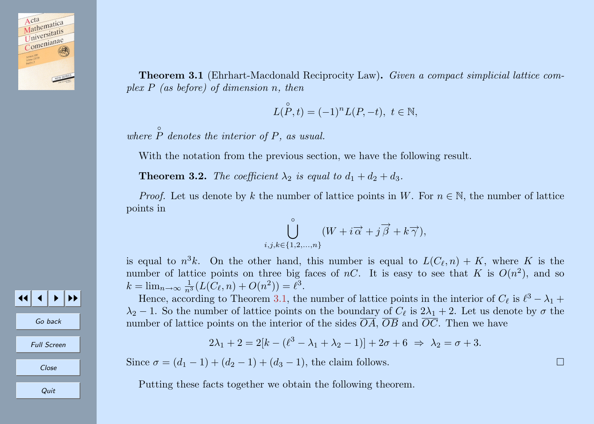<span id="page-11-0"></span>

Theorem 3.1 (Ehrhart-Macdonald Reciprocity Law). Given a compact simplicial lattice complex  $P$  (as before) of dimension n, then

 $L(P, t) = (-1)^n L(P, -t), t \in \mathbb{N},$ 

where  $\hat{P}$  denotes the interior of P, as usual.

With the notation from the previous section, we have the following result.

**Theorem 3.2.** The coefficient  $\lambda_2$  is equal to  $d_1 + d_2 + d_3$ .

*Proof.* Let us denote by k the number of lattice points in W. For  $n \in \mathbb{N}$ , the number of lattice points in

$$
\bigcup_{i,j,k \in \{1,2,\ldots,n\}}^{\circ} (W + i \overrightarrow{\alpha} + j \overrightarrow{\beta} + k \overrightarrow{\gamma}),
$$

is equal to  $n^3k$ . On the other hand, this number is equal to  $L(C_{\ell}, n) + K$ , where K is the number of lattice points on three big faces of nC. It is easy to see that K is  $O(n^2)$ , and so  $k = \lim_{n \to \infty} \frac{1}{n^3} (L(C_{\ell}, n) + O(n^2)) = \ell^3.$ 

Hence, according to Theorem [3.1,](#page-10-0) the number of lattice points in the interior of  $C_{\ell}$  is  $\ell^{3} - \lambda_{1} +$  $\lambda_2$  – 1. So the number of lattice points on the boundary of  $C_{\ell}$  is  $2\lambda_1 + 2$ . Let us denote by  $\sigma$  the number of lattice points on the interior of the sides  $\overline{OA}, \overline{OB}$  and  $\overline{OC}$ . Then we have

$$
2\lambda_1 + 2 = 2[k - (\ell^3 - \lambda_1 + \lambda_2 - 1)] + 2\sigma + 6 \Rightarrow \lambda_2 = \sigma + 3.
$$

Since  $\sigma = (d_1 - 1) + (d_2 - 1) + (d_3 - 1)$ , the claim follows.

Putting these facts together we obtain the following theorem.

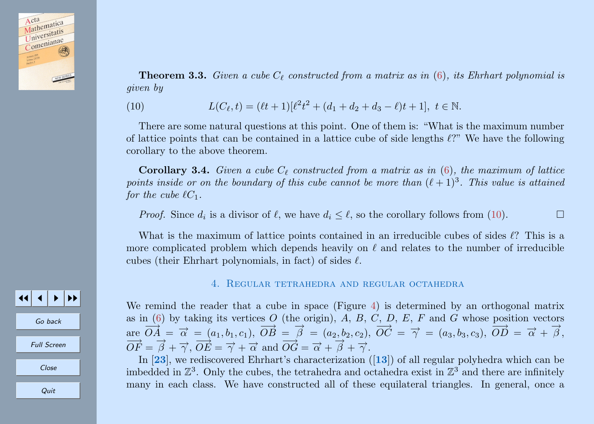<span id="page-12-0"></span>

**Theorem 3.3.** Given a cube  $C_{\ell}$  constructed from a matrix as in [\(6\)](#page-8-0), its Ehrhart polynomial is given by

(10) 
$$
L(C_{\ell}, t) = (\ell t + 1)[\ell^{2}t^{2} + (d_{1} + d_{2} + d_{3} - \ell)t + 1], t \in \mathbb{N}.
$$

There are some natural questions at this point. One of them is: "What is the maximum number of lattice points that can be contained in a lattice cube of side lengths  $\ell$ ?" We have the following corollary to the above theorem.

**Corollary 3.4.** Given a cube  $C_\ell$  constructed from a matrix as in [\(6\)](#page-8-0), the maximum of lattice points inside or on the boundary of this cube cannot be more than  $(\ell + 1)^3$ . This value is attained for the cube  $\ell C_1$ .

*Proof.* Since  $d_i$  is a divisor of  $\ell$ , we have  $d_i \leq \ell$ , so the corollary follows from (10).

What is the maximum of lattice points contained in an irreducible cubes of sides  $\ell$ ? This is a more complicated problem which depends heavily on  $\ell$  and relates to the number of irreducible cubes (their Ehrhart polynomials, in fact) of sides  $\ell$ .

#### 4. Regular tetrahedra and regular octahedra

We remind the reader that a cube in space (Figure [4\)](#page-13-0) is determined by an orthogonal matrix as in  $(6)$  by taking its vertices O (the origin), A, B, C, D, E, F and G whose position vectors are  $\overrightarrow{OA} = \overrightarrow{\alpha} = (a_1, b_1, c_1), \overrightarrow{OB} = \overrightarrow{\beta} = (a_2, b_2, c_2), \overrightarrow{OC} = \overrightarrow{\gamma} = (a_3, b_3, c_3), \overrightarrow{OD} = \overrightarrow{\alpha} + \overrightarrow{\beta}$ ,  $\overrightarrow{OF} = \overrightarrow{\beta} + \overrightarrow{\gamma}, \overrightarrow{OE} = \overrightarrow{\gamma} + \overrightarrow{\alpha} \text{ and } \overrightarrow{OG} = \overrightarrow{\alpha} + \overrightarrow{\beta} + \overrightarrow{\gamma}.$ 

In [[23](#page-19-0)], we rediscovered Ehrhart's characterization ([[13](#page-18-0)]) of all regular polyhedra which can be imbedded in  $\mathbb{Z}^3$ . Only the cubes, the tetrahedra and octahedra exist in  $\mathbb{Z}^3$  and there are infinitely many in each class. We have constructed all of these equilateral triangles. In general, once a

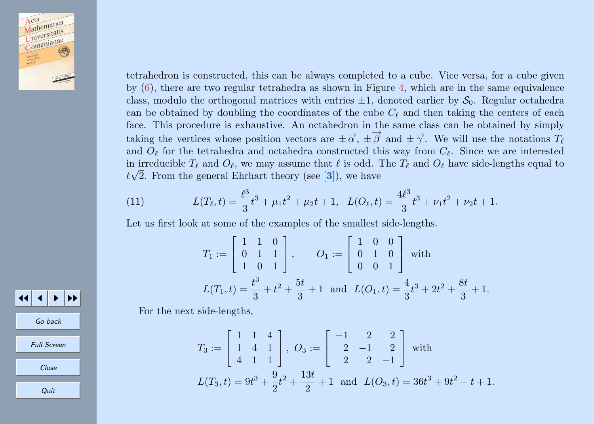<span id="page-13-0"></span>

tetrahedron is constructed, this can be always completed to a cube. Vice versa, for a cube given by [\(6\)](#page-8-0), there are two regular tetrahedra as shown in Figure 4, which are in the same equivalence class, modulo the orthogonal matrices with entries  $\pm 1$ , denoted earlier by  $S_0$ . Regular octahedra can be obtained by doubling the coordinates of the cube  $C_{\ell}$  and then taking the centers of each face. This procedure is exhaustive. An octahedron in the same class can be obtained by simply taking the vertices whose position vectors are  $\pm \vec{\alpha}$ ,  $\pm \vec{\beta}$  and  $\pm \vec{\gamma}$ . We will use the notations  $T_{\ell}$ and  $O_\ell$  for the tetrahedra and octahedra constructed this way from  $C_\ell$ . Since we are interested in irreducible  $T_\ell$  and  $O_\ell$ , we may assume that  $\ell$  is odd. The  $T_\ell$  and  $O_\ell$  have side-lengths equal to  $\ell\sqrt{2}$ . From the general Ehrhart theory (see [[3](#page-18-0)]), we have

(11) 
$$
L(T_{\ell}, t) = \frac{\ell^3}{3}t^3 + \mu_1 t^2 + \mu_2 t + 1, \quad L(O_{\ell}, t) = \frac{4\ell^3}{3}t^3 + \nu_1 t^2 + \nu_2 t + 1.
$$

Let us first look at some of the examples of the smallest side-lengths.

$$
T_1 := \begin{bmatrix} 1 & 1 & 0 \\ 0 & 1 & 1 \\ 1 & 0 & 1 \end{bmatrix}, \qquad O_1 := \begin{bmatrix} 1 & 0 & 0 \\ 0 & 1 & 0 \\ 0 & 0 & 1 \end{bmatrix} \text{ with}
$$

$$
L(T_1, t) = \frac{t^3}{3} + t^2 + \frac{5t}{3} + 1 \text{ and } L(O_1, t) = \frac{4}{3}t^3 + 2t^2 + \frac{8t}{3} + 1.
$$

For the next side-lengths,

$$
T_3 := \begin{bmatrix} 1 & 1 & 4 \\ 1 & 4 & 1 \\ 4 & 1 & 1 \end{bmatrix}, \ Q_3 := \begin{bmatrix} -1 & 2 & 2 \\ 2 & -1 & 2 \\ 2 & 2 & -1 \end{bmatrix} \text{ with}
$$

$$
L(T_3, t) = 9t^3 + \frac{9}{2}t^2 + \frac{13t}{2} + 1 \text{ and } L(O_3, t) = 36t^3 + 9t^2 - t + 1.
$$

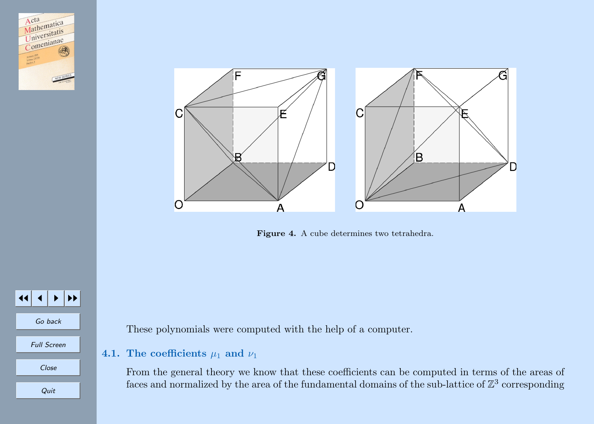



Figure 4. A cube determines two tetrahedra.



Go back Full Screen

Close

Quit

These polynomials were computed with the help of a computer.

## 4.1. The coefficients  $\mu_1$  and  $\nu_1$

From the general theory we know that these coefficients can be computed in terms of the areas of faces and normalized by the area of the fundamental domains of the sub-lattice of  $\mathbb{Z}^3$  corresponding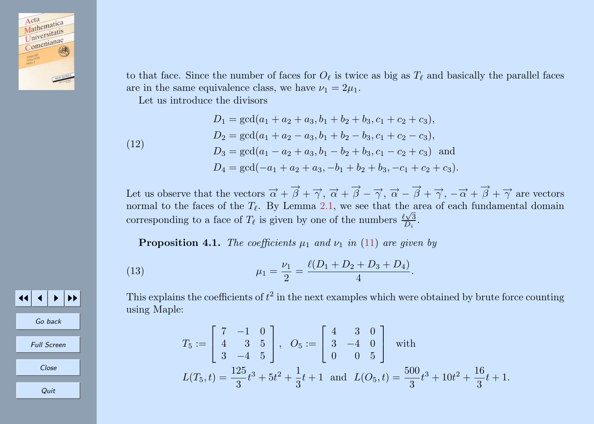

to that face. Since the number of faces for  $O_\ell$  is twice as big as  $T_\ell$  and basically the parallel faces are in the same equivalence class, we have  $\nu_1 = 2\mu_1$ .

Let us introduce the divisors

 $(12)$ 

$$
D_1 = \gcd(a_1 + a_2 + a_3, b_1 + b_2 + b_3, c_1 + c_2 + c_3),
$$
  
\n
$$
D_2 = \gcd(a_1 + a_2 - a_3, b_1 + b_2 - b_3, c_1 + c_2 - c_3),
$$
  
\n
$$
D_3 = \gcd(a_1 - a_2 + a_3, b_1 - b_2 + b_3, c_1 - c_2 + c_3)
$$
 and  
\n
$$
D_4 = \gcd(-a_1 + a_2 + a_3, -b_1 + b_2 + b_3, -c_1 + c_2 + c_3).
$$

Let us observe that the vectors  $\vec{\alpha} + \vec{\beta} + \vec{\gamma}, \vec{\alpha} + \vec{\beta} - \vec{\gamma}, \vec{\alpha} - \vec{\beta} + \vec{\gamma}, -\vec{\alpha} + \vec{\beta} + \vec{\gamma}$  are vectors normal to the faces of the  $T_\ell$ . By Lemma [2.1,](#page-7-0) we see that the area of each fundamental domain corresponding to a face of  $T_{\ell}$  is given by one of the numbers  $\frac{\ell \sqrt{3}}{D_i}$ .

**Proposition 4.1.** The coefficients  $\mu_1$  and  $\nu_1$  in [\(11\)](#page-13-0) are given by

(13) 
$$
\mu_1 = \frac{\nu_1}{2} = \frac{\ell(D_1 + D_2 + D_3 + D_4)}{4}.
$$

JJ J I II Go back Full Screen Close Quit

This explains the coefficients of  $t^2$  in the next examples which were obtained by brute force counting using Maple:

$$
T_5 := \begin{bmatrix} 7 & -1 & 0 \\ 4 & 3 & 5 \\ 3 & -4 & 5 \end{bmatrix}, \quad O_5 := \begin{bmatrix} 4 & 3 & 0 \\ 3 & -4 & 0 \\ 0 & 0 & 5 \end{bmatrix} \text{ with}
$$

$$
L(T_5, t) = \frac{125}{3}t^3 + 5t^2 + \frac{1}{3}t + 1 \text{ and } L(O_5, t) = \frac{500}{3}t^3 + 10t^2 + \frac{16}{3}t + 1.
$$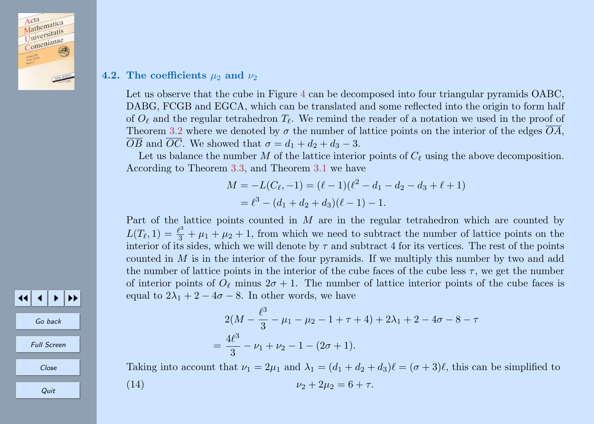

## 4.2. The coefficients  $\mu_2$  and  $\nu_2$

Let us observe that the cube in Figure [4](#page-13-0) can be decomposed into four triangular pyramids OABC. DABG, FCGB and EGCA, which can be translated and some reflected into the origin to form half of  $O_\ell$  and the regular tetrahedron  $T_\ell$ . We remind the reader of a notation we used in the proof of Theorem [3.2](#page-11-0) where we denoted by  $\sigma$  the number of lattice points on the interior of the edges  $\overline{OA}$ ,  $\overline{OB}$  and  $\overline{OC}$ . We showed that  $\sigma = d_1 + d_2 + d_3 - 3$ .

Let us balance the number M of the lattice interior points of  $C_\ell$  using the above decomposition. According to Theorem [3.3,](#page-11-0) and Theorem [3.1](#page-10-0) we have

$$
M = -L(C_{\ell}, -1) = (\ell - 1)(\ell^2 - d_1 - d_2 - d_3 + \ell + 1)
$$
  
=  $\ell^3 - (d_1 + d_2 + d_3)(\ell - 1) - 1.$ 

Part of the lattice points counted in M are in the regular tetrahedron which are counted by  $L(T_\ell, 1) = \frac{\ell^3}{3} + \mu_1 + \mu_2 + 1$ , from which we need to subtract the number of lattice points on the interior of its sides, which we will denote by  $\tau$  and subtract 4 for its vertices. The rest of the points counted in  $M$  is in the interior of the four pyramids. If we multiply this number by two and add the number of lattice points in the interior of the cube faces of the cube less  $\tau$ , we get the number of interior points of  $O_\ell$  minus  $2\sigma + 1$ . The number of lattice interior points of the cube faces is equal to  $2\lambda_1 + 2 - 4\sigma - 8$ . In other words, we have

$$
2(M - \frac{\ell^3}{3} - \mu_1 - \mu_2 - 1 + \tau + 4) + 2\lambda_1 + 2 - 4\sigma - 8 - \tau
$$
  
=  $\frac{4\ell^3}{3} - \nu_1 + \nu_2 - 1 - (2\sigma + 1).$ 

Taking into account that  $\nu_1 = 2\mu_1$  and  $\lambda_1 = (d_1 + d_2 + d_3)\ell = (\sigma + 3)\ell$ , this can be simplified to

(14) 
$$
\nu_2 + 2\mu_2 = 6 + \tau.
$$



JJ J I II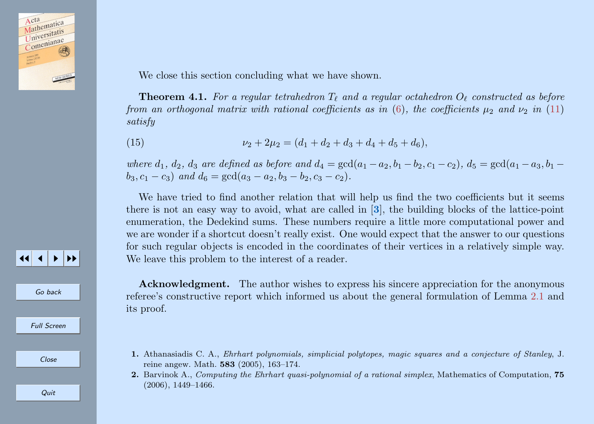

We close this section concluding what we have shown.

**Theorem 4.1.** For a regular tetrahedron  $T_\ell$  and a regular octahedron  $O_\ell$  constructed as before from an orthogonal matrix with rational coefficients as in [\(6\)](#page-8-0), the coefficients  $\mu_2$  and  $\nu_2$  in [\(11\)](#page-13-0) satisfy

(15) 
$$
\nu_2 + 2\mu_2 = (d_1 + d_2 + d_3 + d_4 + d_5 + d_6),
$$

where  $d_1, d_2, d_3$  are defined as before and  $d_4 = \gcd(a_1 - a_2, b_1 - b_2, c_1 - c_2), d_5 = \gcd(a_1 - a_3, b_1 - b_2, c_2 - c_3)$  $b_3$ ,  $c_1 - c_3$ ) and  $d_6 = \gcd(a_3 - a_2, b_3 - b_2, c_3 - c_2)$ .

We have tried to find another relation that will help us find the two coefficients but it seems there is not an easy way to avoid, what are called in [[3](#page-18-0)], the building blocks of the lattice-point enumeration, the Dedekind sums. These numbers require a little more computational power and we are wonder if a shortcut doesn't really exist. One would expect that the answer to our questions for such regular objects is encoded in the coordinates of their vertices in a relatively simple way. We leave this problem to the interest of a reader.

Acknowledgment. The author wishes to express his sincere appreciation for the anonymous referee's constructive report which informed us about the general formulation of Lemma [2.1](#page-7-0) and its proof.

- 1. Athanasiadis C. A., Ehrhart polynomials, simplicial polytopes, magic squares and a conjecture of Stanley, J. reine angew. Math. 583 (2005), 163–174.
- 2. Barvinok A., Computing the Ehrhart quasi-polynomial of a rational simplex, Mathematics of Computation, 75 (2006), 1449–1466.

**Quit** 

11 J D D

Go back

Full Screen

Close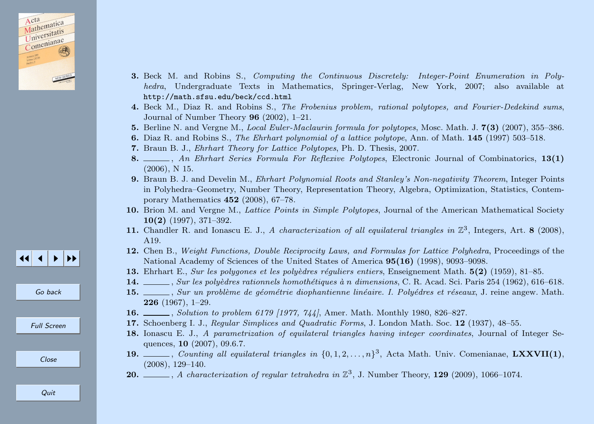<span id="page-18-0"></span>

- 3. Beck M. and Robins S., Computing the Continuous Discretely: Integer-Point Enumeration in Polyhedra, Undergraduate Texts in Mathematics, Springer-Verlag, New York, 2007; also available at http://math.sfsu.edu/beck/ccd.html
- 4. Beck M., Diaz R. and Robins S., The Frobenius problem, rational polytopes, and Fourier-Dedekind sums, Journal of Number Theory 96 (2002), 1–21.
- 5. Berline N. and Vergne M., Local Euler-Maclaurin formula for polytopes, Mosc. Math. J. 7(3) (2007), 355–386.
- 6. Diaz R. and Robins S., The Ehrhart polynomial of a lattice polytope, Ann. of Math. 145 (1997) 503–518.
- 7. Braun B. J., Ehrhart Theory for Lattice Polytopes, Ph. D. Thesis, 2007.
- 8. An Ehrhart Series Formula For Reflexive Polytopes, Electronic Journal of Combinatorics, 13(1) (2006), N 15.
- 9. Braun B. J. and Develin M., Ehrhart Polynomial Roots and Stanley's Non-negativity Theorem, Integer Points in Polyhedra–Geometry, Number Theory, Representation Theory, Algebra, Optimization, Statistics, Contemporary Mathematics 452 (2008), 67–78.
- 10. Brion M. and Vergne M., Lattice Points in Simple Polytopes, Journal of the American Mathematical Society 10(2) (1997), 371–392.
- 11. Chandler R. and Ionascu E. J., A characterization of all equilateral triangles in  $\mathbb{Z}^3$ , Integers, Art. 8 (2008), A19.
- 12. Chen B., Weight Functions, Double Reciprocity Laws, and Formulas for Lattice Polyhedra, Proceedings of the National Academy of Sciences of the United States of America 95(16) (1998), 9093–9098.
- 13. Ehrhart E., Sur les polygones et les polyèdres réguliers entiers, Enseignement Math. 5(2) (1959), 81–85.
- 14. , Sur les polyèdres rationnels homothétiques à n dimensions, C. R. Acad. Sci. Paris 254 (1962), 616–618.
- 15.  $\ldots$ , Sur un problème de géométrie diophantienne linéaire. I. Polyédres et réseaux, J. reine angew. Math. 226 (1967), 1–29.
- 16. *Solution to problem 6179 [1977, 744]*, Amer. Math. Monthly 1980, 826–827.
- 17. Schoenberg I. J., Regular Simplices and Quadratic Forms, J. London Math. Soc. 12 (1937), 48–55.
- 18. Ionascu E. J., A parametrization of equilateral triangles having integer coordinates, Journal of Integer Sequences, 10 (2007), 09.6.7.
- 19.  $\ldots$ , Counting all equilateral triangles in  $\{0, 1, 2, \ldots, n\}^3$ , Acta Math. Univ. Comenianae, LXXVII(1), (2008), 129–140.
- **20.**  $\qquad \qquad \ldots$ , A characterization of regular tetrahedra in  $\mathbb{Z}^3$ , J. Number Theory, **129** (2009), 1066–1074.



Go back

Full Screen

Close